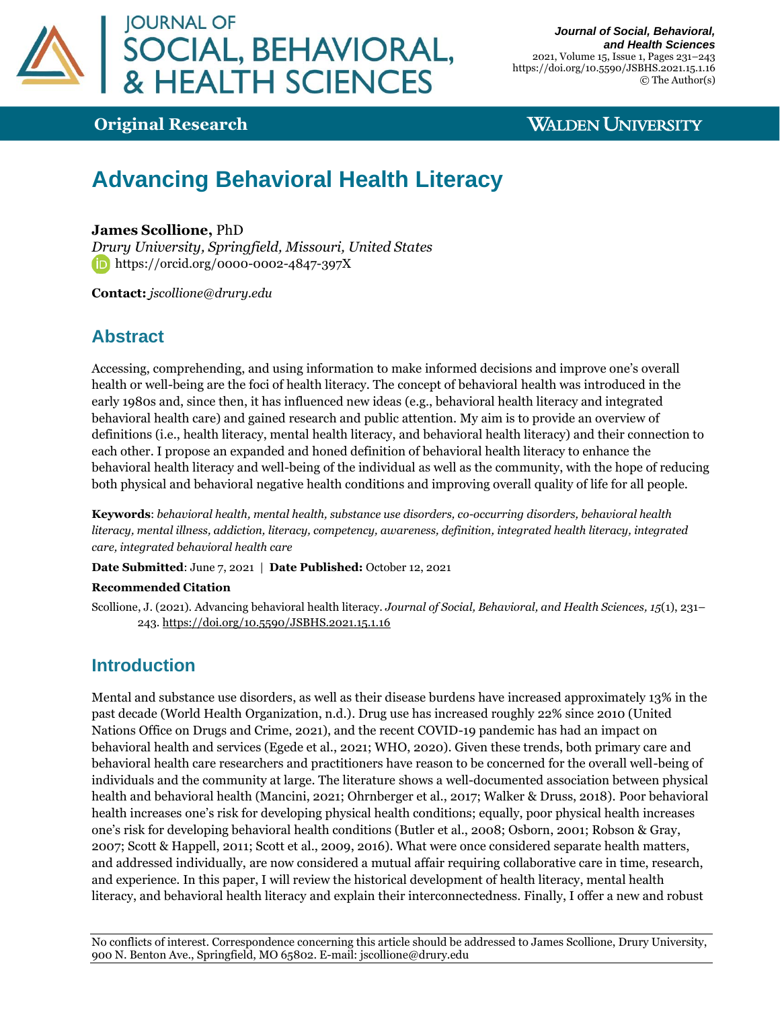

*Journal of Social, Behavioral, and Health Sciences* 2021, Volume 15, Issue 1, Pages 231–243 https://doi.org/10.5590/JSBHS.2021.15.1.16 © The Author(s)

## **Original Research**

### **WALDEN UNIVERSITY**

# **Advancing Behavioral Health Literacy**

#### **James Scollione,** PhD

*Drury University, Springfield, Missouri, United States* **https://orcid.org/0000-0002-4847-397X** 

**Contact:** *[jscollione@drury.edu](mailto:%20jscollione@drury.edu)*

### **Abstract**

Accessing, comprehending, and using information to make informed decisions and improve one's overall health or well-being are the foci of health literacy. The concept of behavioral health was introduced in the early 1980s and, since then, it has influenced new ideas (e.g., behavioral health literacy and integrated behavioral health care) and gained research and public attention. My aim is to provide an overview of definitions (i.e., health literacy, mental health literacy, and behavioral health literacy) and their connection to each other. I propose an expanded and honed definition of behavioral health literacy to enhance the behavioral health literacy and well-being of the individual as well as the community, with the hope of reducing both physical and behavioral negative health conditions and improving overall quality of life for all people.

**Keywords**: *behavioral health, mental health, substance use disorders, co-occurring disorders, behavioral health literacy, mental illness, addiction, literacy, competency, awareness, definition, integrated health literacy, integrated care, integrated behavioral health care*

**Date Submitted**: June 7, 2021 | **Date Published:** October 12, 2021

#### **Recommended Citation**

Scollione, J. (2021). Advancing behavioral health literacy. *Journal of Social, Behavioral, and Health Sciences, 15*(1), 231– 243[. https://doi.org/10.5590/JSBHS.2021.15.1.16](https://doi.org/10.5590/JSBHS.2021.15.1.16)

### **Introduction**

Mental and substance use disorders, as well as their disease burdens have increased approximately 13% in the past decade (World Health Organization, n.d.). Drug use has increased roughly 22% since 2010 (United Nations Office on Drugs and Crime, 2021), and the recent COVID-19 pandemic has had an impact on behavioral health and services (Egede et al., 2021; WHO, 2020). Given these trends, both primary care and behavioral health care researchers and practitioners have reason to be concerned for the overall well-being of individuals and the community at large. The literature shows a well-documented association between physical health and behavioral health (Mancini, 2021; Ohrnberger et al., 2017; Walker & Druss, 2018). Poor behavioral health increases one's risk for developing physical health conditions; equally, poor physical health increases one's risk for developing behavioral health conditions (Butler et al., 2008; Osborn, 2001; Robson & Gray, 2007; Scott & Happell, 2011; Scott et al., 2009, 2016). What were once considered separate health matters, and addressed individually, are now considered a mutual affair requiring collaborative care in time, research, and experience. In this paper, I will review the historical development of health literacy, mental health literacy, and behavioral health literacy and explain their interconnectedness. Finally, I offer a new and robust

No conflicts of interest. Correspondence concerning this article should be addressed to James Scollione, Drury University, 900 N. Benton Ave., Springfield, MO 65802. E-mail: [jscollione@drury.edu](mailto:jscollione@drury.edu)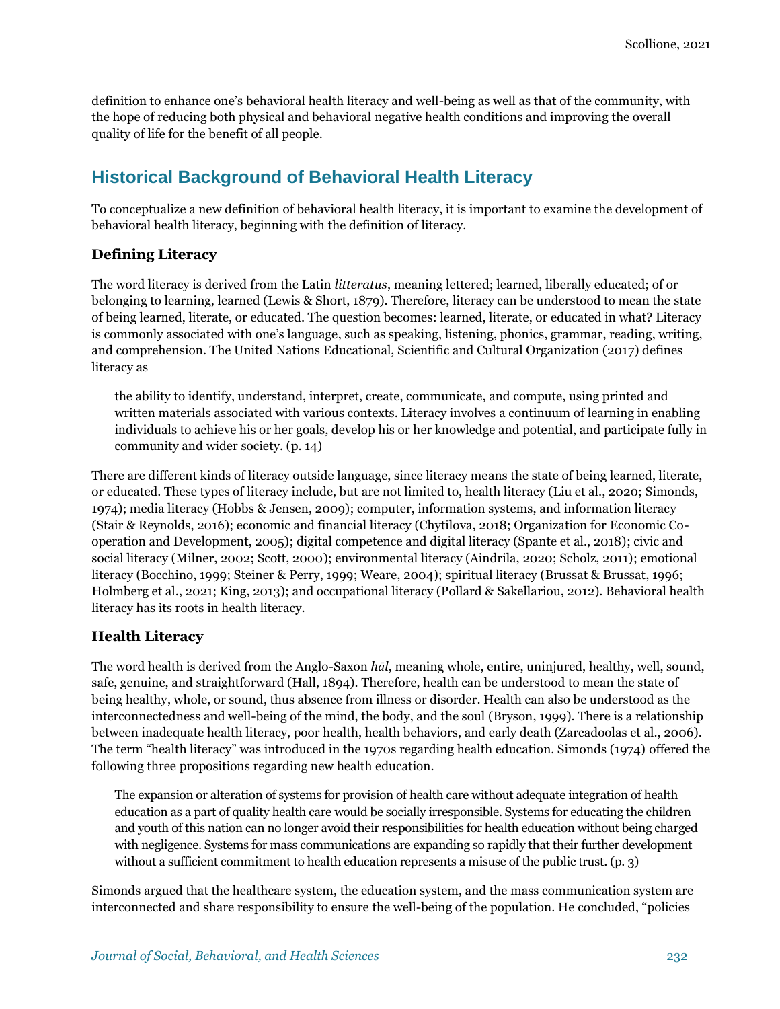definition to enhance one's behavioral health literacy and well-being as well as that of the community, with the hope of reducing both physical and behavioral negative health conditions and improving the overall quality of life for the benefit of all people.

## **Historical Background of Behavioral Health Literacy**

To conceptualize a new definition of behavioral health literacy, it is important to examine the development of behavioral health literacy, beginning with the definition of literacy.

### **Defining Literacy**

The word literacy is derived from the Latin *litteratus*, meaning lettered; learned, liberally educated; of or belonging to learning, learned (Lewis & Short, 1879). Therefore, literacy can be understood to mean the state of being learned, literate, or educated. The question becomes: learned, literate, or educated in what? Literacy is commonly associated with one's language, such as speaking, listening, phonics, grammar, reading, writing, and comprehension. The United Nations Educational, Scientific and Cultural Organization (2017) defines literacy as

the ability to identify, understand, interpret, create, communicate, and compute, using printed and written materials associated with various contexts. Literacy involves a continuum of learning in enabling individuals to achieve his or her goals, develop his or her knowledge and potential, and participate fully in community and wider society. (p. 14)

There are different kinds of literacy outside language, since literacy means the state of being learned, literate, or educated. These types of literacy include, but are not limited to, health literacy (Liu et al., 2020; Simonds, 1974); media literacy (Hobbs & Jensen, 2009); computer, information systems, and information literacy (Stair & Reynolds, 2016); economic and financial literacy (Chytilova, 2018; Organization for Economic Cooperation and Development, 2005); digital competence and digital literacy (Spante et al., 2018); civic and social literacy (Milner, 2002; Scott, 2000); environmental literacy (Aindrila, 2020; Scholz, 2011); emotional literacy (Bocchino, 1999; Steiner & Perry, 1999; Weare, 2004); spiritual literacy (Brussat & Brussat, 1996; Holmberg et al., 2021; King, 2013); and occupational literacy (Pollard & Sakellariou, 2012). Behavioral health literacy has its roots in health literacy.

#### **Health Literacy**

The word health is derived from the Anglo-Saxon *hāl*, meaning whole, entire, uninjured, healthy, well, sound, safe, genuine, and straightforward (Hall, 1894). Therefore, health can be understood to mean the state of being healthy, whole, or sound, thus absence from illness or disorder. Health can also be understood as the interconnectedness and well-being of the mind, the body, and the soul (Bryson, 1999). There is a relationship between inadequate health literacy, poor health, health behaviors, and early death (Zarcadoolas et al., 2006). The term "health literacy" was introduced in the 1970s regarding health education. Simonds (1974) offered the following three propositions regarding new health education.

The expansion or alteration of systems for provision of health care without adequate integration of health education as a part of quality health care would be socially irresponsible. Systems for educating the children and youth of this nation can no longer avoid their responsibilities for health education without being charged with negligence. Systems for mass communications are expanding so rapidly that their further development without a sufficient commitment to health education represents a misuse of the public trust. (p. 3)

Simonds argued that the healthcare system, the education system, and the mass communication system are interconnected and share responsibility to ensure the well-being of the population. He concluded, "policies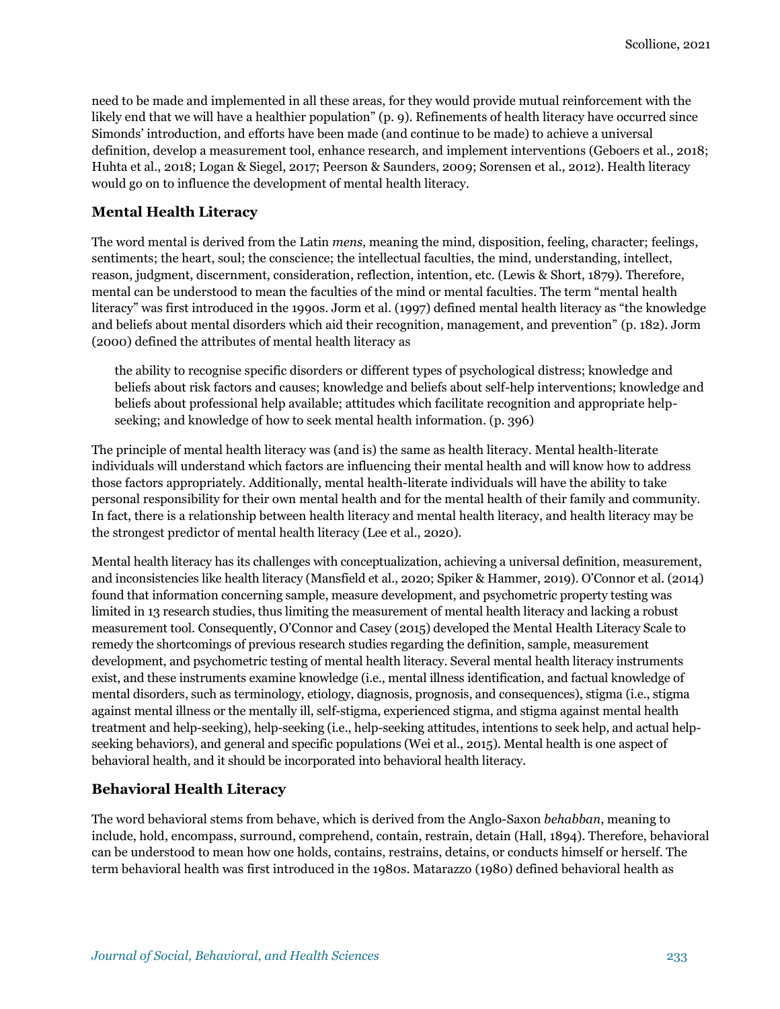need to be made and implemented in all these areas, for they would provide mutual reinforcement with the likely end that we will have a healthier population" (p. 9). Refinements of health literacy have occurred since Simonds' introduction, and efforts have been made (and continue to be made) to achieve a universal definition, develop a measurement tool, enhance research, and implement interventions (Geboers et al., 2018; Huhta et al., 2018; Logan & Siegel, 2017; Peerson & Saunders, 2009; Sorensen et al., 2012). Health literacy would go on to influence the development of mental health literacy.

#### **Mental Health Literacy**

The word mental is derived from the Latin *mens*, meaning the mind, disposition, feeling, character; feelings, sentiments; the heart, soul; the conscience; the intellectual faculties, the mind, understanding, intellect, reason, judgment, discernment, consideration, reflection, intention, etc. (Lewis & Short, 1879). Therefore, mental can be understood to mean the faculties of the mind or mental faculties. The term "mental health literacy" was first introduced in the 1990s. Jorm et al. (1997) defined mental health literacy as "the knowledge and beliefs about mental disorders which aid their recognition, management, and prevention" (p. 182). Jorm (2000) defined the attributes of mental health literacy as

the ability to recognise specific disorders or different types of psychological distress; knowledge and beliefs about risk factors and causes; knowledge and beliefs about self-help interventions; knowledge and beliefs about professional help available; attitudes which facilitate recognition and appropriate helpseeking; and knowledge of how to seek mental health information. (p. 396)

The principle of mental health literacy was (and is) the same as health literacy. Mental health-literate individuals will understand which factors are influencing their mental health and will know how to address those factors appropriately. Additionally, mental health-literate individuals will have the ability to take personal responsibility for their own mental health and for the mental health of their family and community. In fact, there is a relationship between health literacy and mental health literacy, and health literacy may be the strongest predictor of mental health literacy (Lee et al., 2020).

Mental health literacy has its challenges with conceptualization, achieving a universal definition, measurement, and inconsistencies like health literacy (Mansfield et al., 2020; Spiker & Hammer, 2019). O'Connor et al. (2014) found that information concerning sample, measure development, and psychometric property testing was limited in 13 research studies, thus limiting the measurement of mental health literacy and lacking a robust measurement tool. Consequently, O'Connor and Casey (2015) developed the Mental Health Literacy Scale to remedy the shortcomings of previous research studies regarding the definition, sample, measurement development, and psychometric testing of mental health literacy. Several mental health literacy instruments exist, and these instruments examine knowledge (i.e., mental illness identification, and factual knowledge of mental disorders, such as terminology, etiology, diagnosis, prognosis, and consequences), stigma (i.e., stigma against mental illness or the mentally ill, self-stigma, experienced stigma, and stigma against mental health treatment and help-seeking), help-seeking (i.e., help-seeking attitudes, intentions to seek help, and actual helpseeking behaviors), and general and specific populations (Wei et al., 2015). Mental health is one aspect of behavioral health, and it should be incorporated into behavioral health literacy.

#### **Behavioral Health Literacy**

The word behavioral stems from behave, which is derived from the Anglo-Saxon *behabban*, meaning to include, hold, encompass, surround, comprehend, contain, restrain, detain (Hall, 1894). Therefore, behavioral can be understood to mean how one holds, contains, restrains, detains, or conducts himself or herself. The term behavioral health was first introduced in the 1980s. Matarazzo (1980) defined behavioral health as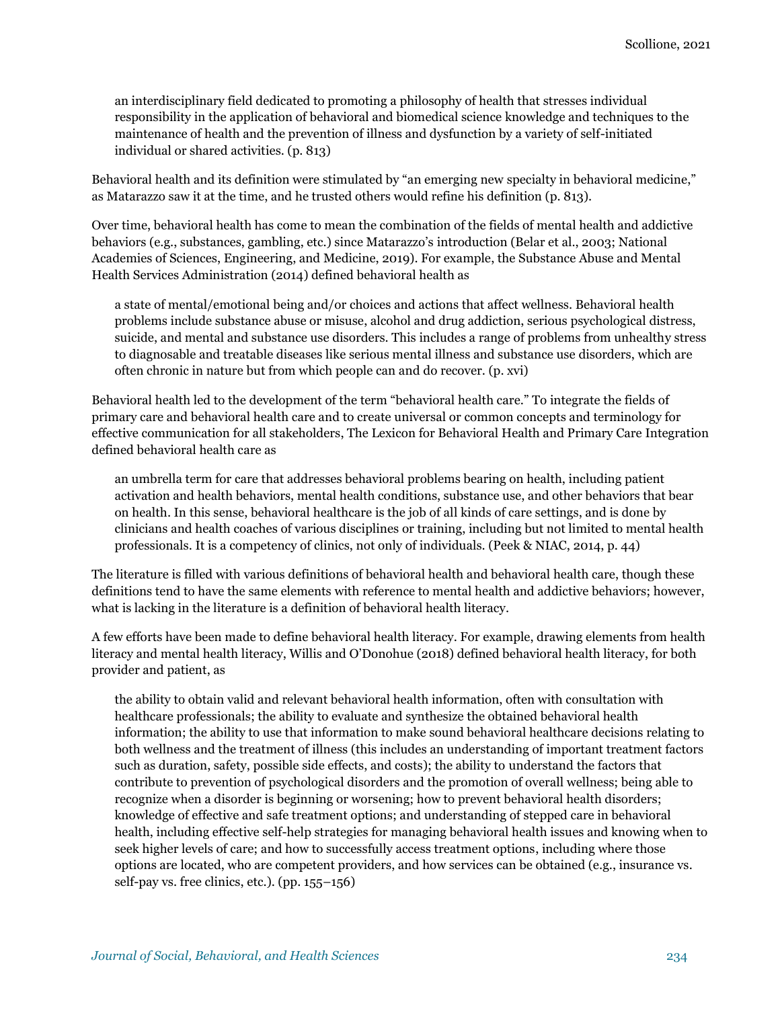an interdisciplinary field dedicated to promoting a philosophy of health that stresses individual responsibility in the application of behavioral and biomedical science knowledge and techniques to the maintenance of health and the prevention of illness and dysfunction by a variety of self-initiated individual or shared activities. (p. 813)

Behavioral health and its definition were stimulated by "an emerging new specialty in behavioral medicine," as Matarazzo saw it at the time, and he trusted others would refine his definition (p. 813).

Over time, behavioral health has come to mean the combination of the fields of mental health and addictive behaviors (e.g., substances, gambling, etc.) since Matarazzo's introduction (Belar et al., 2003; National Academies of Sciences, Engineering, and Medicine, 2019). For example, the Substance Abuse and Mental Health Services Administration (2014) defined behavioral health as

a state of mental/emotional being and/or choices and actions that affect wellness. Behavioral health problems include substance abuse or misuse, alcohol and drug addiction, serious psychological distress, suicide, and mental and substance use disorders. This includes a range of problems from unhealthy stress to diagnosable and treatable diseases like serious mental illness and substance use disorders, which are often chronic in nature but from which people can and do recover. (p. xvi)

Behavioral health led to the development of the term "behavioral health care." To integrate the fields of primary care and behavioral health care and to create universal or common concepts and terminology for effective communication for all stakeholders, The Lexicon for Behavioral Health and Primary Care Integration defined behavioral health care as

an umbrella term for care that addresses behavioral problems bearing on health, including patient activation and health behaviors, mental health conditions, substance use, and other behaviors that bear on health. In this sense, behavioral healthcare is the job of all kinds of care settings, and is done by clinicians and health coaches of various disciplines or training, including but not limited to mental health professionals. It is a competency of clinics, not only of individuals. (Peek & NIAC, 2014, p. 44)

The literature is filled with various definitions of behavioral health and behavioral health care, though these definitions tend to have the same elements with reference to mental health and addictive behaviors; however, what is lacking in the literature is a definition of behavioral health literacy.

A few efforts have been made to define behavioral health literacy. For example, drawing elements from health literacy and mental health literacy, Willis and O'Donohue (2018) defined behavioral health literacy, for both provider and patient, as

the ability to obtain valid and relevant behavioral health information, often with consultation with healthcare professionals; the ability to evaluate and synthesize the obtained behavioral health information; the ability to use that information to make sound behavioral healthcare decisions relating to both wellness and the treatment of illness (this includes an understanding of important treatment factors such as duration, safety, possible side effects, and costs); the ability to understand the factors that contribute to prevention of psychological disorders and the promotion of overall wellness; being able to recognize when a disorder is beginning or worsening; how to prevent behavioral health disorders; knowledge of effective and safe treatment options; and understanding of stepped care in behavioral health, including effective self-help strategies for managing behavioral health issues and knowing when to seek higher levels of care; and how to successfully access treatment options, including where those options are located, who are competent providers, and how services can be obtained (e.g., insurance vs. self-pay vs. free clinics, etc.). (pp. 155–156)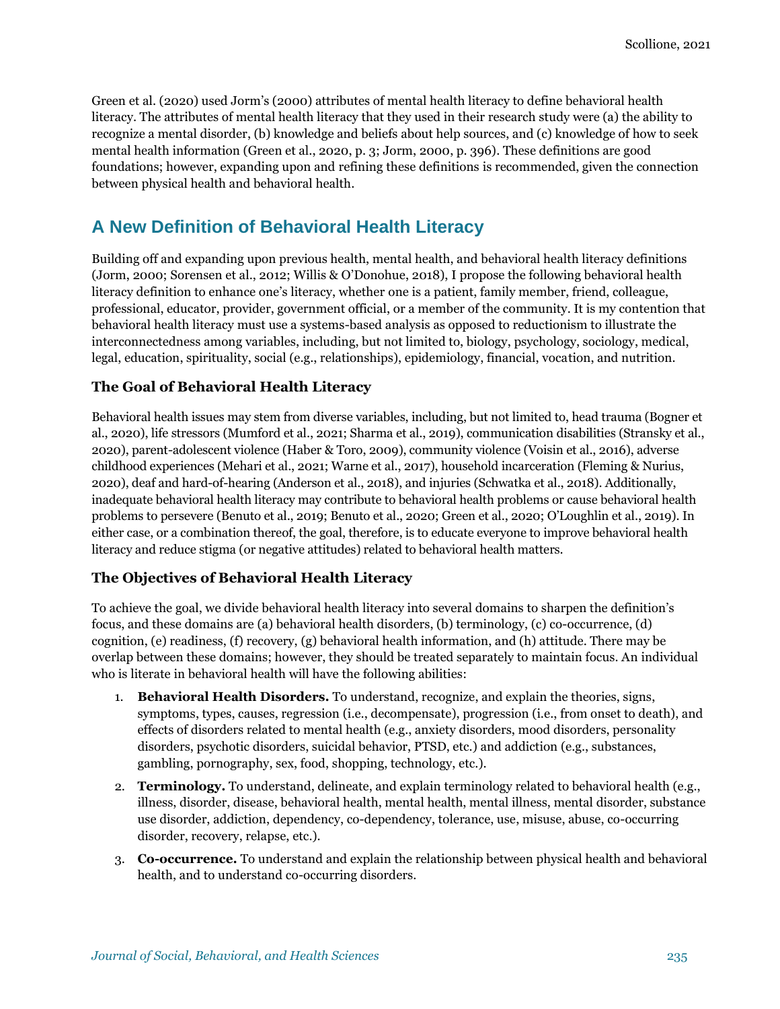Green et al. (2020) used Jorm's (2000) attributes of mental health literacy to define behavioral health literacy. The attributes of mental health literacy that they used in their research study were (a) the ability to recognize a mental disorder, (b) knowledge and beliefs about help sources, and (c) knowledge of how to seek mental health information (Green et al., 2020, p. 3; Jorm, 2000, p. 396). These definitions are good foundations; however, expanding upon and refining these definitions is recommended, given the connection between physical health and behavioral health.

### **A New Definition of Behavioral Health Literacy**

Building off and expanding upon previous health, mental health, and behavioral health literacy definitions (Jorm, 2000; Sorensen et al., 2012; Willis & O'Donohue, 2018), I propose the following behavioral health literacy definition to enhance one's literacy, whether one is a patient, family member, friend, colleague, professional, educator, provider, government official, or a member of the community. It is my contention that behavioral health literacy must use a systems-based analysis as opposed to reductionism to illustrate the interconnectedness among variables, including, but not limited to, biology, psychology, sociology, medical, legal, education, spirituality, social (e.g., relationships), epidemiology, financial, vocation, and nutrition.

#### **The Goal of Behavioral Health Literacy**

Behavioral health issues may stem from diverse variables, including, but not limited to, head trauma (Bogner et al., 2020), life stressors (Mumford et al., 2021; Sharma et al., 2019), communication disabilities (Stransky et al., 2020), parent-adolescent violence (Haber & Toro, 2009), community violence (Voisin et al., 2016), adverse childhood experiences (Mehari et al., 2021; Warne et al., 2017), household incarceration (Fleming & Nurius, 2020), deaf and hard-of-hearing (Anderson et al., 2018), and injuries (Schwatka et al., 2018). Additionally, inadequate behavioral health literacy may contribute to behavioral health problems or cause behavioral health problems to persevere (Benuto et al., 2019; Benuto et al., 2020; Green et al., 2020; O'Loughlin et al., 2019). In either case, or a combination thereof, the goal, therefore, is to educate everyone to improve behavioral health literacy and reduce stigma (or negative attitudes) related to behavioral health matters.

#### **The Objectives of Behavioral Health Literacy**

To achieve the goal, we divide behavioral health literacy into several domains to sharpen the definition's focus, and these domains are (a) behavioral health disorders, (b) terminology, (c) co-occurrence, (d) cognition, (e) readiness, (f) recovery, (g) behavioral health information, and (h) attitude. There may be overlap between these domains; however, they should be treated separately to maintain focus. An individual who is literate in behavioral health will have the following abilities:

- 1. **Behavioral Health Disorders.** To understand, recognize, and explain the theories, signs, symptoms, types, causes, regression (i.e., decompensate), progression (i.e., from onset to death), and effects of disorders related to mental health (e.g., anxiety disorders, mood disorders, personality disorders, psychotic disorders, suicidal behavior, PTSD, etc.) and addiction (e.g., substances, gambling, pornography, sex, food, shopping, technology, etc.).
- 2. **Terminology.** To understand, delineate, and explain terminology related to behavioral health (e.g., illness, disorder, disease, behavioral health, mental health, mental illness, mental disorder, substance use disorder, addiction, dependency, co-dependency, tolerance, use, misuse, abuse, co-occurring disorder, recovery, relapse, etc.).
- 3. **Co-occurrence.** To understand and explain the relationship between physical health and behavioral health, and to understand co-occurring disorders.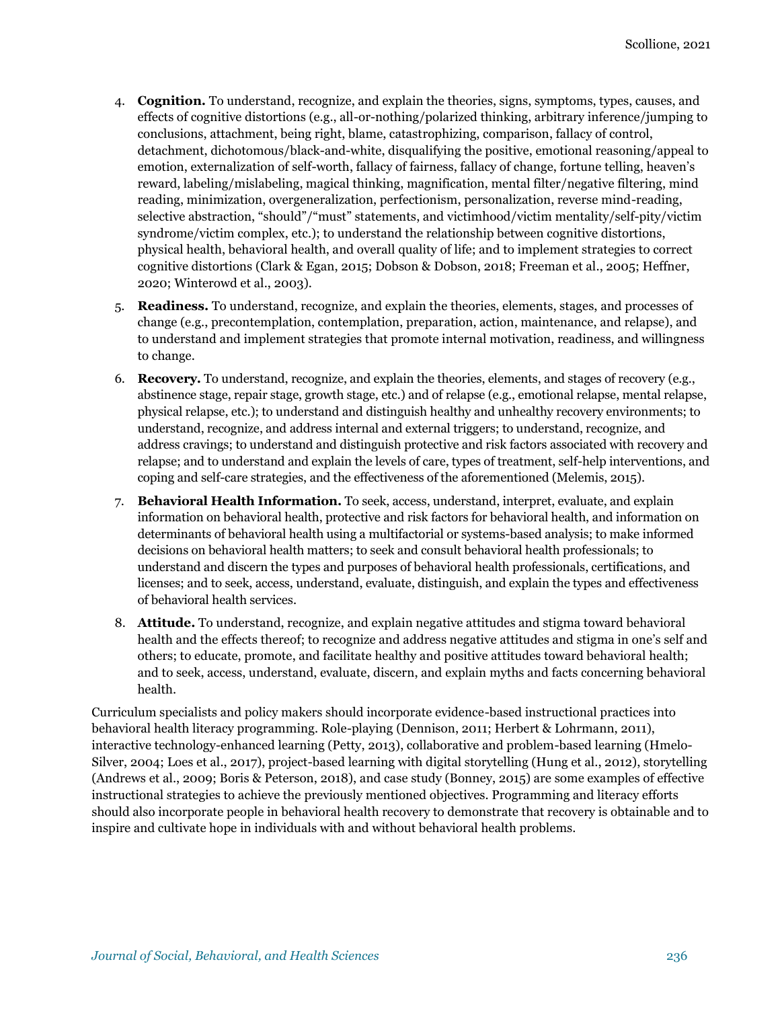- 4. **Cognition.** To understand, recognize, and explain the theories, signs, symptoms, types, causes, and effects of cognitive distortions (e.g., all-or-nothing/polarized thinking, arbitrary inference/jumping to conclusions, attachment, being right, blame, catastrophizing, comparison, fallacy of control, detachment, dichotomous/black-and-white, disqualifying the positive, emotional reasoning/appeal to emotion, externalization of self-worth, fallacy of fairness, fallacy of change, fortune telling, heaven's reward, labeling/mislabeling, magical thinking, magnification, mental filter/negative filtering, mind reading, minimization, overgeneralization, perfectionism, personalization, reverse mind-reading, selective abstraction, "should"/"must" statements, and victimhood/victim mentality/self-pity/victim syndrome/victim complex, etc.); to understand the relationship between cognitive distortions, physical health, behavioral health, and overall quality of life; and to implement strategies to correct cognitive distortions (Clark & Egan, 2015; Dobson & Dobson, 2018; Freeman et al., 2005; Heffner, 2020; Winterowd et al., 2003).
- 5. **Readiness.** To understand, recognize, and explain the theories, elements, stages, and processes of change (e.g., precontemplation, contemplation, preparation, action, maintenance, and relapse), and to understand and implement strategies that promote internal motivation, readiness, and willingness to change.
- 6. **Recovery.** To understand, recognize, and explain the theories, elements, and stages of recovery (e.g., abstinence stage, repair stage, growth stage, etc.) and of relapse (e.g., emotional relapse, mental relapse, physical relapse, etc.); to understand and distinguish healthy and unhealthy recovery environments; to understand, recognize, and address internal and external triggers; to understand, recognize, and address cravings; to understand and distinguish protective and risk factors associated with recovery and relapse; and to understand and explain the levels of care, types of treatment, self-help interventions, and coping and self-care strategies, and the effectiveness of the aforementioned (Melemis, 2015).
- 7. **Behavioral Health Information.** To seek, access, understand, interpret, evaluate, and explain information on behavioral health, protective and risk factors for behavioral health, and information on determinants of behavioral health using a multifactorial or systems-based analysis; to make informed decisions on behavioral health matters; to seek and consult behavioral health professionals; to understand and discern the types and purposes of behavioral health professionals, certifications, and licenses; and to seek, access, understand, evaluate, distinguish, and explain the types and effectiveness of behavioral health services.
- 8. **Attitude.** To understand, recognize, and explain negative attitudes and stigma toward behavioral health and the effects thereof; to recognize and address negative attitudes and stigma in one's self and others; to educate, promote, and facilitate healthy and positive attitudes toward behavioral health; and to seek, access, understand, evaluate, discern, and explain myths and facts concerning behavioral health.

Curriculum specialists and policy makers should incorporate evidence-based instructional practices into behavioral health literacy programming. Role-playing (Dennison, 2011; Herbert & Lohrmann, 2011), interactive technology-enhanced learning (Petty, 2013), collaborative and problem-based learning (Hmelo-Silver, 2004; Loes et al., 2017), project-based learning with digital storytelling (Hung et al., 2012), storytelling (Andrews et al., 2009; Boris & Peterson, 2018), and case study (Bonney, 2015) are some examples of effective instructional strategies to achieve the previously mentioned objectives. Programming and literacy efforts should also incorporate people in behavioral health recovery to demonstrate that recovery is obtainable and to inspire and cultivate hope in individuals with and without behavioral health problems.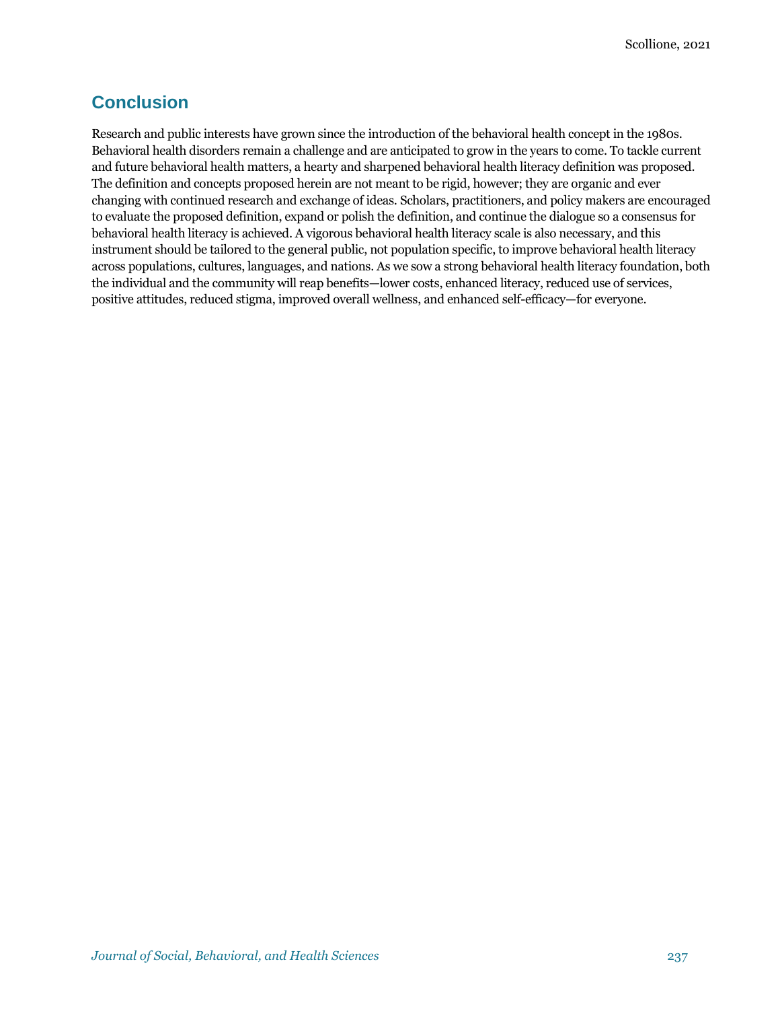### **Conclusion**

Research and public interests have grown since the introduction of the behavioral health concept in the 1980s. Behavioral health disorders remain a challenge and are anticipated to grow in the years to come. To tackle current and future behavioral health matters, a hearty and sharpened behavioral health literacy definition was proposed. The definition and concepts proposed herein are not meant to be rigid, however; they are organic and ever changing with continued research and exchange of ideas. Scholars, practitioners, and policy makers are encouraged to evaluate the proposed definition, expand or polish the definition, and continue the dialogue so a consensus for behavioral health literacy is achieved. A vigorous behavioral health literacy scale is also necessary, and this instrument should be tailored to the general public, not population specific, to improve behavioral health literacy across populations, cultures, languages, and nations. As we sow a strong behavioral health literacy foundation, both the individual and the community will reap benefits—lower costs, enhanced literacy, reduced use of services, positive attitudes, reduced stigma, improved overall wellness, and enhanced self-efficacy—for everyone.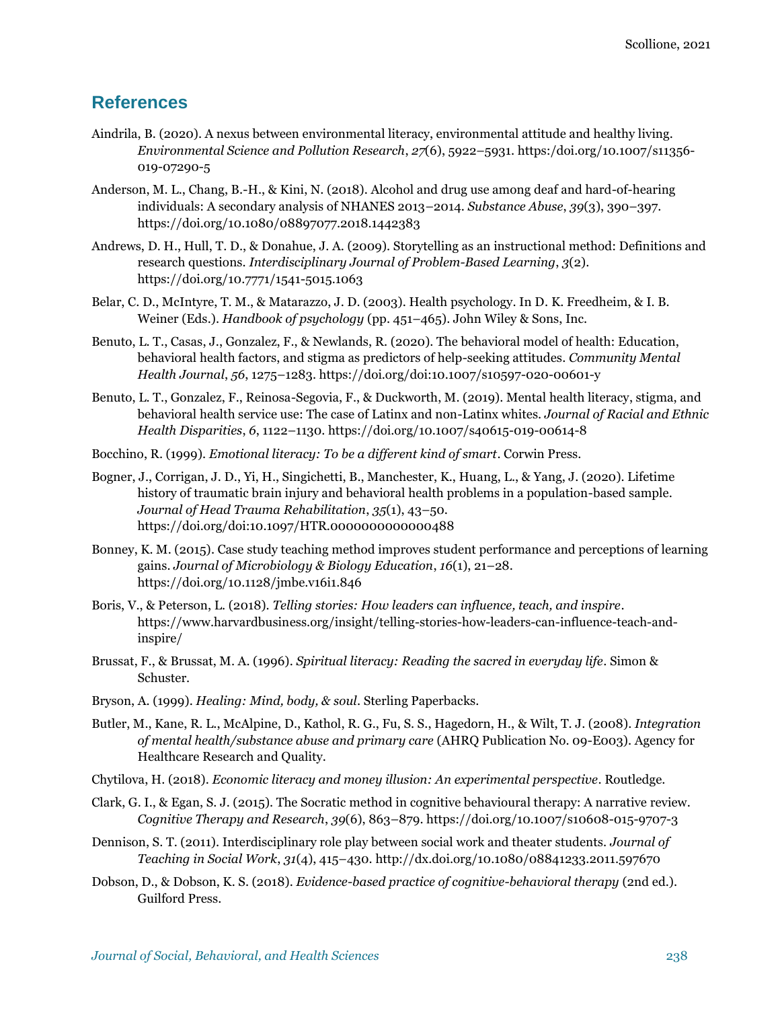### **References**

- Aindrila, B. (2020). A nexus between environmental literacy, environmental attitude and healthy living. *Environmental Science and Pollution Research*, *27*(6), 5922–5931[. https:/doi.org/10.1007/s11356-](https://doi.org/10.1007/s11356-019-07290-5) [019-07290-5](https://doi.org/10.1007/s11356-019-07290-5)
- Anderson, M. L., Chang, B.-H., & Kini, N. (2018). Alcohol and drug use among deaf and hard-of-hearing individuals: A secondary analysis of NHANES 2013–2014. *Substance Abuse*, *39*(3), 390–397. [https://doi.org/10.1080/08897077.2018.1442383](https://doi.org/doi:10.1080/08897077.2018.1442383)
- Andrews, D. H., Hull, T. D., & Donahue, J. A. (2009). Storytelling as an instructional method: Definitions and research questions. *Interdisciplinary Journal of Problem-Based Learning*, *3*(2). [https://doi.org/10.7771/1541-5015.1063](https://doi.org/doi:10.7771/1541-5015.1063)
- Belar, C. D., McIntyre, T. M., & Matarazzo, J. D. (2003). Health psychology. In D. K. Freedheim, & I. B. Weiner (Eds.). *Handbook of psychology* (pp. 451–465). John Wiley & Sons, Inc.
- Benuto, L. T., Casas, J., Gonzalez, F., & Newlands, R. (2020). The behavioral model of health: Education, behavioral health factors, and stigma as predictors of help-seeking attitudes. *Community Mental Health Journal*, *56*, 1275–1283[. https://doi.org/doi:10.1007/s10597-020-00601-y](https://doi.org/doi:10.1007/s10597-020-00601-y)
- Benuto, L. T., Gonzalez, F., Reinosa-Segovia, F., & Duckworth, M. (2019). Mental health literacy, stigma, and behavioral health service use: The case of Latinx and non-Latinx whites. *Journal of Racial and Ethnic Health Disparities*, *6*, 1122–1130[. https://doi.org/10.1007/s40615-019-00614-8](https://doi.org/doi:10.1007/s40615-019-00614-8)
- Bocchino, R. (1999). *Emotional literacy: To be a different kind of smart*. Corwin Press.
- Bogner, J., Corrigan, J. D., Yi, H., Singichetti, B., Manchester, K., Huang, L., & Yang, J. (2020). Lifetime history of traumatic brain injury and behavioral health problems in a population-based sample. *Journal of Head Trauma Rehabilitation*, *35*(1), 43–50. <https://doi.org/doi:10.1097/HTR.0000000000000488>
- Bonney, K. M. (2015). Case study teaching method improves student performance and perceptions of learning gains. *Journal of Microbiology & Biology Education*, *16*(1), 21–28. [https://doi.org/10.1128/jmbe.v16i1.846](https://doi.org/doi:10.1128/jmbe.v16i1.846)
- Boris, V., & Peterson, L. (2018). *Telling stories: How leaders can influence, teach, and inspire*. [https://www.harvardbusiness.org/insight/telling-stories-how-leaders-can-influence-teach-and](https://www.harvardbusiness.org/insight/telling-stories-how-leaders-can-influence-teach-and-inspire/)[inspire/](https://www.harvardbusiness.org/insight/telling-stories-how-leaders-can-influence-teach-and-inspire/)
- Brussat, F., & Brussat, M. A. (1996). *Spiritual literacy: Reading the sacred in everyday life*. Simon & Schuster.
- Bryson, A. (1999). *Healing: Mind, body, & soul*. Sterling Paperbacks.
- Butler, M., Kane, R. L., McAlpine, D., Kathol, R. G., Fu, S. S., Hagedorn, H., & Wilt, T. J. (2008). *Integration of mental health/substance abuse and primary care* (AHRQ Publication No. 09-E003). Agency for Healthcare Research and Quality.
- Chytilova, H. (2018). *Economic literacy and money illusion: An experimental perspective*. Routledge.
- Clark, G. I., & Egan, S. J. (2015). The Socratic method in cognitive behavioural therapy: A narrative review. *Cognitive Therapy and Research*, *39*(6), 863–879. [https://doi.org/10.1007/s10608-015-9707-3](https://doi.org/doi:10.1007/s10608-015-9707-3)
- Dennison, S. T. (2011). Interdisciplinary role play between social work and theater students. *Journal of Teaching in Social Work*, *31*(4), 415–430. <http://dx.doi.org/10.1080/08841233.2011.597670>
- Dobson, D., & Dobson, K. S. (2018). *Evidence-based practice of cognitive-behavioral therapy* (2nd ed.). Guilford Press.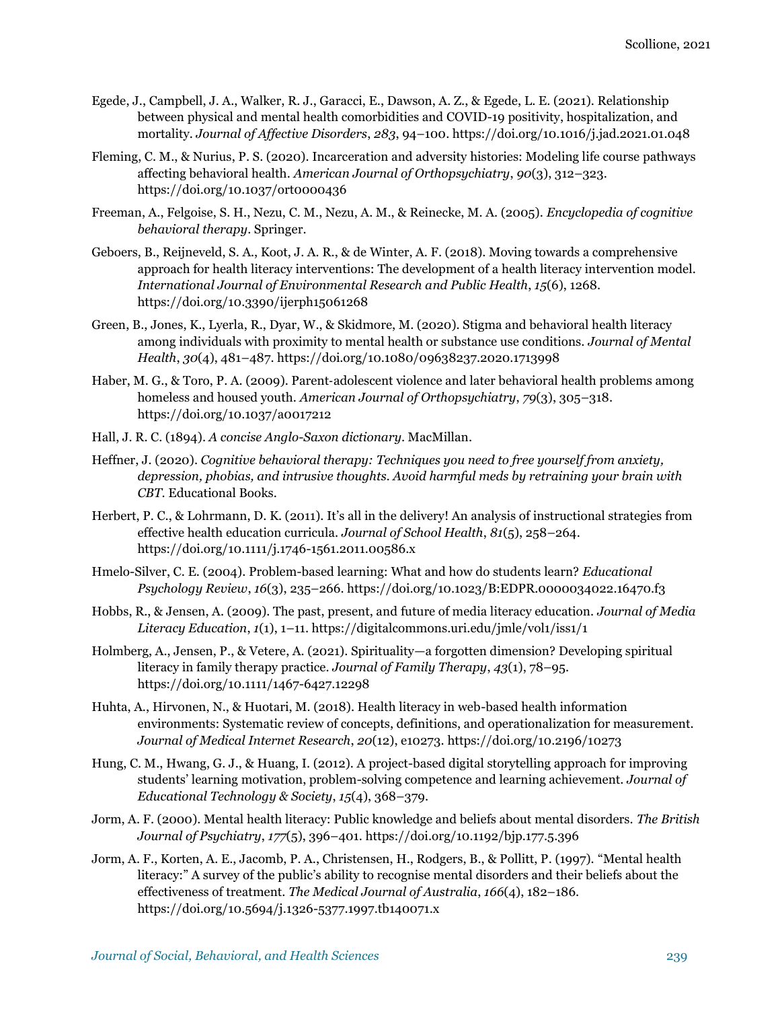- Egede, J., Campbell, J. A., Walker, R. J., Garacci, E., Dawson, A. Z., & Egede, L. E. (2021). Relationship between physical and mental health comorbidities and COVID-19 positivity, hospitalization, and mortality. *Journal of Affective Disorders*, *283*, 94–100. https://doi.org/10.1016/j.jad.2021.01.048
- Fleming, C. M., & Nurius, P. S. (2020). Incarceration and adversity histories: Modeling life course pathways affecting behavioral health. *American Journal of Orthopsychiatry*, *90*(3), 312–323. [https://doi.org/10.1037/ort0000436](https://doi.org/doi:10.1037/ort0000436)
- Freeman, A., Felgoise, S. H., Nezu, C. M., Nezu, A. M., & Reinecke, M. A. (2005). *Encyclopedia of cognitive behavioral therapy*. Springer.
- Geboers, B., Reijneveld, S. A., Koot, J. A. R., & de Winter, A. F. (2018). Moving towards a comprehensive approach for health literacy interventions: The development of a health literacy intervention model. *International Journal of Environmental Research and Public Health*, *15*(6), 1268. [https://doi.org/10.3390/ijerph15061268](https://doi.org/doi:10.3390/ijerph15061268)
- Green, B., Jones, K., Lyerla, R., Dyar, W., & Skidmore, M. (2020). Stigma and behavioral health literacy among individuals with proximity to mental health or substance use conditions. *Journal of Mental Health*, *30*(4), 481–487[. https://doi.org/10.1080/09638237.2020.1713998](https://doi.org/doi:10.1080/09638237.2020.1713998)
- Haber, M. G., & Toro, P. A. (2009). Parent-adolescent violence and later behavioral health problems among homeless and housed youth. *American Journal of Orthopsychiatry*, *79*(3), 305–318. [https://doi.org/10.1037/a0017212](https://doi.org/doi:10.1037/a0017212)
- Hall, J. R. C. (1894). *A concise Anglo-Saxon dictionary*. MacMillan.
- Heffner, J. (2020). *Cognitive behavioral therapy: Techniques you need to free yourself from anxiety, depression, phobias, and intrusive thoughts. Avoid harmful meds by retraining your brain with CBT*. Educational Books.
- Herbert, P. C., & Lohrmann, D. K. (2011). It's all in the delivery! An analysis of instructional strategies from effective health education curricula. *Journal of School Health*, *81*(5), 258–264. [https://doi.org/10.1111/j.1746-1561.2011.00586.x](https://doi.org/doi:10.1111/j.1746-1561.2011.00586.x)
- Hmelo-Silver, C. E. (2004). Problem-based learning: What and how do students learn? *Educational Psychology Review*, *16*(3), 235–266[. https://doi.org/10.1023/B:EDPR.0000034022.16470.f3](https://doi.org/doi:10.1023/B:EDPR.0000034022.16470.f3)
- Hobbs, R., & Jensen, A. (2009). The past, present, and future of media literacy education. *Journal of Media Literacy Education*, *1*(1), 1–11.<https://digitalcommons.uri.edu/jmle/vol1/iss1/1>
- Holmberg, A., Jensen, P., & Vetere, A. (2021). Spirituality—a forgotten dimension? Developing spiritual literacy in family therapy practice. *Journal of Family Therapy*, *43*(1), 78–95. [https://doi.org/10.1111/1467-6427.12298](https://doi.org/doi:10.1111/1467-6427.12298)
- Huhta, A., Hirvonen, N., & Huotari, M. (2018). Health literacy in web-based health information environments: Systematic review of concepts, definitions, and operationalization for measurement. *Journal of Medical Internet Research*, *20*(12), e10273. [https://doi.org/10.2196/10273](https://doi.org/doi:10.2196/10273)
- Hung, C. M., Hwang, G. J., & Huang, I. (2012). A project-based digital storytelling approach for improving students' learning motivation, problem-solving competence and learning achievement. *Journal of Educational Technology & Society*, *15*(4), 368–379.
- Jorm, A. F. (2000). Mental health literacy: Public knowledge and beliefs about mental disorders. *The British Journal of Psychiatry*, *177*(5), 396–401. [https://doi.org/10.1192/bjp.177.5.396](https://doi.org/doi:10.1192/bjp.177.5.396)
- Jorm, A. F., Korten, A. E., Jacomb, P. A., Christensen, H., Rodgers, B., & Pollitt, P. (1997). "Mental health literacy:" A survey of the public's ability to recognise mental disorders and their beliefs about the effectiveness of treatment. *The Medical Journal of Australia*, *166*(4), 182–186. [https://doi.org/10.5694/j.1326-5377.1997.tb140071.x](https://doi.org/doi:10.5694/j.1326-5377.1997.tb140071.x)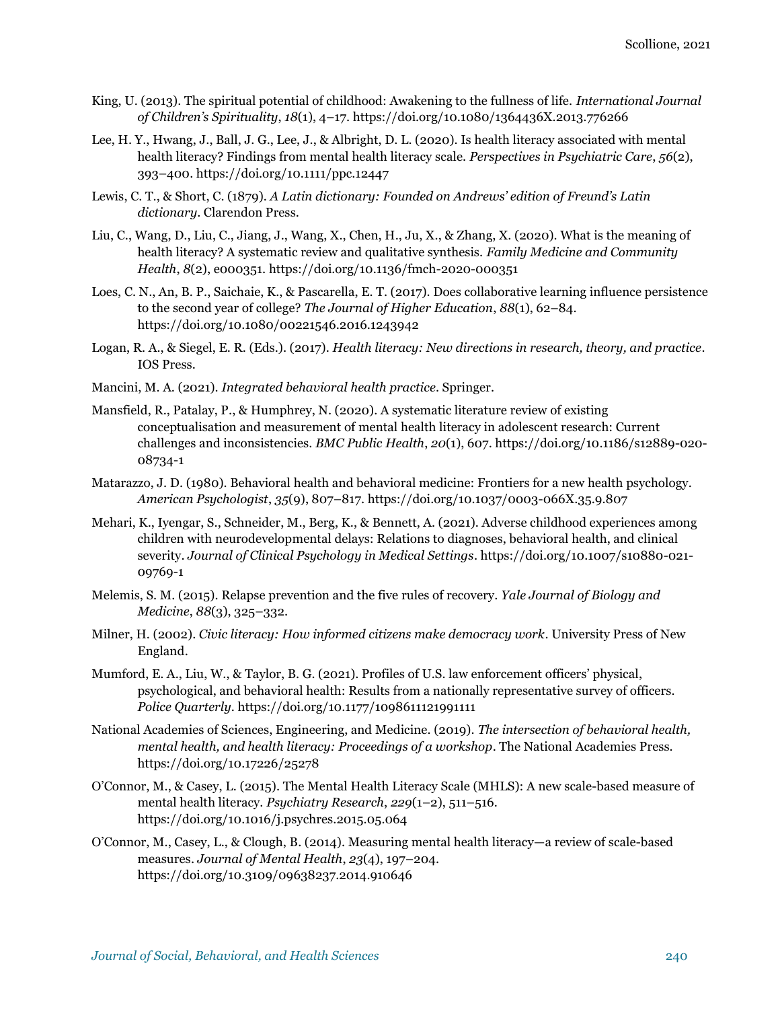- King, U. (2013). The spiritual potential of childhood: Awakening to the fullness of life. *International Journal of Children's Spirituality*, *18*(1), 4–17. [https://doi.org/10.1080/1364436X.2013.776266](https://doi.org/doi:10.1080/1364436X.2013.776266)
- Lee, H. Y., Hwang, J., Ball, J. G., Lee, J., & Albright, D. L. (2020). Is health literacy associated with mental health literacy? Findings from mental health literacy scale. *Perspectives in Psychiatric Care*, *56*(2), 393–400. [https://doi.org/10.1111/ppc.12447](https://doi.org/doi:10.1111/ppc.12447)
- Lewis, C. T., & Short, C. (1879). *A Latin dictionary: Founded on Andrews' edition of Freund's Latin dictionary*. Clarendon Press.
- Liu, C., Wang, D., Liu, C., Jiang, J., Wang, X., Chen, H., Ju, X., & Zhang, X. (2020). What is the meaning of health literacy? A systematic review and qualitative synthesis. *Family Medicine and Community Health*, *8*(2), e000351. [https://doi.org/10.1136/fmch-2020-000351](https://doi.org/doi:10.1136/fmch-2020-000351)
- Loes, C. N., An, B. P., Saichaie, K., & Pascarella, E. T. (2017). Does collaborative learning influence persistence to the second year of college? *The Journal of Higher Education*, *88*(1), 62–84. [https://doi.org/10.1080/00221546.2016.1243942](https://doi.org/doi:%2010.1080/00221546.2016.1243942)
- Logan, R. A., & Siegel, E. R. (Eds.). (2017). *Health literacy: New directions in research, theory, and practice*. IOS Press.
- Mancini, M. A. (2021). *Integrated behavioral health practice*. Springer.
- Mansfield, R., Patalay, P., & Humphrey, N. (2020). A systematic literature review of existing conceptualisation and measurement of mental health literacy in adolescent research: Current challenges and inconsistencies. *BMC Public Health*, *20*(1), 607. [https://doi.org/10.1186/s12889-020-](https://doi.org/doi:10.1186/s12889-020-08734-1) [08734-1](https://doi.org/doi:10.1186/s12889-020-08734-1)
- Matarazzo, J. D. (1980). Behavioral health and behavioral medicine: Frontiers for a new health psychology. *American Psychologist*, *35*(9), 807–817[. https://doi.org/10.1037/0003-066X.35.9.807](https://doi.org/doi:10.1037/0003-066X.35.9.807)
- Mehari, K., Iyengar, S., Schneider, M., Berg, K., & Bennett, A. (2021). Adverse childhood experiences among children with neurodevelopmental delays: Relations to diagnoses, behavioral health, and clinical severity. *Journal of Clinical Psychology in Medical Settings*. [https://doi.org/10.1007/s10880-021-](https://doi.org/doi:10.1007/s10880-021-09769-1) [09769-1](https://doi.org/doi:10.1007/s10880-021-09769-1)
- Melemis, S. M. (2015). Relapse prevention and the five rules of recovery. *Yale Journal of Biology and Medicine*, *88*(3), 325–332.
- Milner, H. (2002). *Civic literacy: How informed citizens make democracy work*. University Press of New England.
- Mumford, E. A., Liu, W., & Taylor, B. G. (2021). Profiles of U.S. law enforcement officers' physical, psychological, and behavioral health: Results from a nationally representative survey of officers. *Police Quarterly*[. https://doi.org/10.1177/1098611121991111](https://doi.org/doi:10.1177/1098611121991111)
- National Academies of Sciences, Engineering, and Medicine. (2019). *The intersection of behavioral health, mental health, and health literacy: Proceedings of a workshop*. The National Academies Press. [https://doi.org/10.17226/25278](https://doi.org/doi:10.17226/25278)
- O'Connor, M., & Casey, L. (2015). The Mental Health Literacy Scale (MHLS): A new scale-based measure of mental health literacy. *Psychiatry Research*, *229*(1–2), 511–516. [https://doi.org/10.1016/j.psychres.2015.05.064](https://doi.org/doi:10.1016/j.psychres.2015.05.064)
- O'Connor, M., Casey, L., & Clough, B. (2014). Measuring mental health literacy—a review of scale-based measures. *Journal of Mental Health*, *23*(4), 197–204. [https://doi.org/10.3109/09638237.2014.910646](https://doi.org/doi:10.3109/09638237.2014.910646)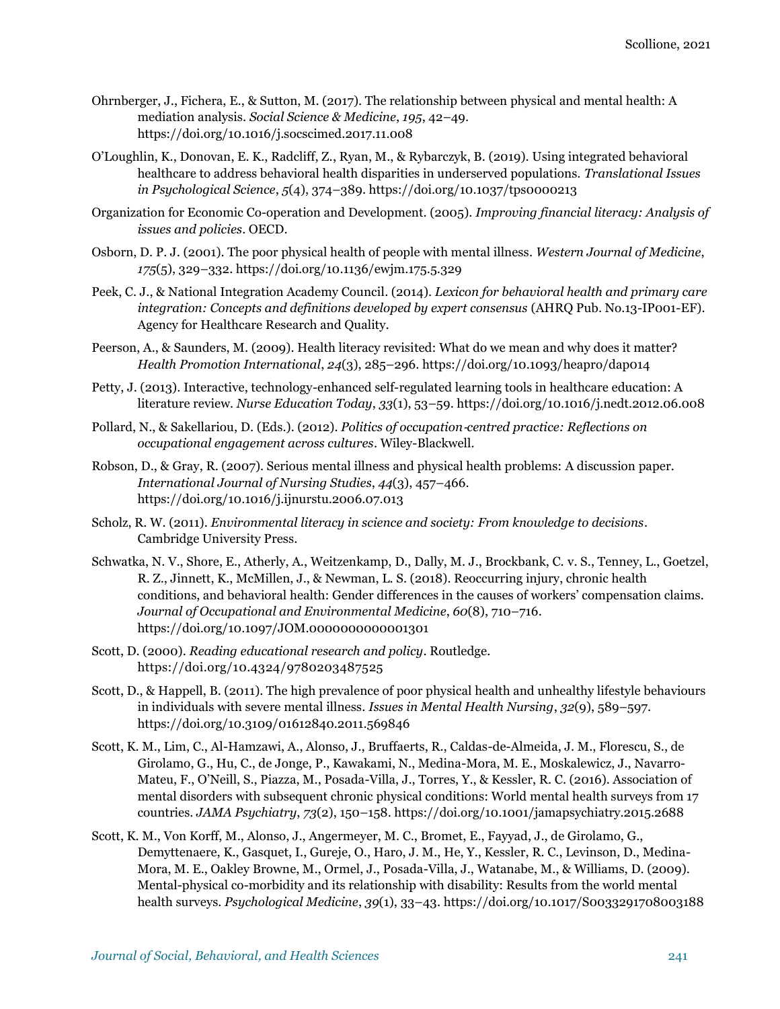- Ohrnberger, J., Fichera, E., & Sutton, M. (2017). The relationship between physical and mental health: A mediation analysis. *Social Science & Medicine*, *195*, 42–49. https://doi.org/10.1016/j.socscimed.2017.11.008
- O'Loughlin, K., Donovan, E. K., Radcliff, Z., Ryan, M., & Rybarczyk, B. (2019). Using integrated behavioral healthcare to address behavioral health disparities in underserved populations. *Translational Issues in Psychological Science*, *5*(4), 374–389. [https://doi.org/10.1037/tps0000213](https://doi.org/doi:10.1037/tps0000213)
- Organization for Economic Co-operation and Development. (2005). *Improving financial literacy: Analysis of issues and policies*. OECD.
- Osborn, D. P. J. (2001). The poor physical health of people with mental illness. *Western Journal of Medicine*, *175*(5), 329–332.<https://doi.org/10.1136/ewjm.175.5.329>
- Peek, C. J., & National Integration Academy Council. (2014). *Lexicon for behavioral health and primary care integration: Concepts and definitions developed by expert consensus* (AHRQ Pub. No.13-IP001-EF). Agency for Healthcare Research and Quality.
- Peerson, A., & Saunders, M. (2009). Health literacy revisited: What do we mean and why does it matter? *Health Promotion International*, *24*(3), 285–296[. https://doi.org/10.1093/heapro/dap014](https://doi.org/doi:10.1093/heapro/dap014)
- Petty, J. (2013). Interactive, technology-enhanced self-regulated learning tools in healthcare education: A literature review. *Nurse Education Today*, *33*(1), 53–59. [https://doi.org/10.1016/j.nedt.2012.06.008](https://doi.org/doi:10.1016/j.nedt.2012.06.008)
- Pollard, N., & Sakellariou, D. (Eds.). (2012). *Politics of occupation*‐*centred practice: Reflections on occupational engagement across cultures*. Wiley-Blackwell.
- Robson, D., & Gray, R. (2007). Serious mental illness and physical health problems: A discussion paper. *International Journal of Nursing Studies*, *44*(3), 457–466. [https://doi.org/10.1016/j.ijnurstu.2006.07.013](https://doi.org/doi:10.1016/j.ijnurstu.2006.07.013)
- Scholz, R. W. (2011). *Environmental literacy in science and society: From knowledge to decisions*. Cambridge University Press.
- Schwatka, N. V., Shore, E., Atherly, A., Weitzenkamp, D., Dally, M. J., Brockbank, C. v. S., Tenney, L., Goetzel, R. Z., Jinnett, K., McMillen, J., & Newman, L. S. (2018). Reoccurring injury, chronic health conditions, and behavioral health: Gender differences in the causes of workers' compensation claims. *Journal of Occupational and Environmental Medicine*, *60*(8), 710–716. [https://doi.org/10.1097/JOM.0000000000001301](https://doi.org/doi:10.1097/JOM.0000000000001301)
- Scott, D. (2000). *Reading educational research and policy*. Routledge. https://doi.org/10.4324/9780203487525
- Scott, D., & Happell, B. (2011). The high prevalence of poor physical health and unhealthy lifestyle behaviours in individuals with severe mental illness. *Issues in Mental Health Nursing*, *32*(9), 589–597. [https://doi.org/10.3109/01612840.2011.569846](https://doi.org/doi:10.3109/01612840.2011.569846)
- Scott, K. M., Lim, C., Al-Hamzawi, A., Alonso, J., Bruffaerts, R., Caldas-de-Almeida, J. M., Florescu, S., de Girolamo, G., Hu, C., de Jonge, P., Kawakami, N., Medina-Mora, M. E., Moskalewicz, J., Navarro-Mateu, F., O'Neill, S., Piazza, M., Posada-Villa, J., Torres, Y., & Kessler, R. C. (2016). Association of mental disorders with subsequent chronic physical conditions: World mental health surveys from 17 countries. *JAMA Psychiatry*, *73*(2), 150–158[. https://doi.org/10.1001/jamapsychiatry.2015.2688](https://doi.org/doi:10.1001/jamapsychiatry.2015.2688)
- Scott, K. M., Von Korff, M., Alonso, J., Angermeyer, M. C., Bromet, E., Fayyad, J., de Girolamo, G., Demyttenaere, K., Gasquet, I., Gureje, O., Haro, J. M., He, Y., Kessler, R. C., Levinson, D., Medina-Mora, M. E., Oakley Browne, M., Ormel, J., Posada-Villa, J., Watanabe, M., & Williams, D. (2009). Mental-physical co-morbidity and its relationship with disability: Results from the world mental health surveys. *Psychological Medicine*, *39*(1), 33–43. [https://doi.org/10.1017/S0033291708003188](https://doi.org/doi:10.1017/S0033291708003188)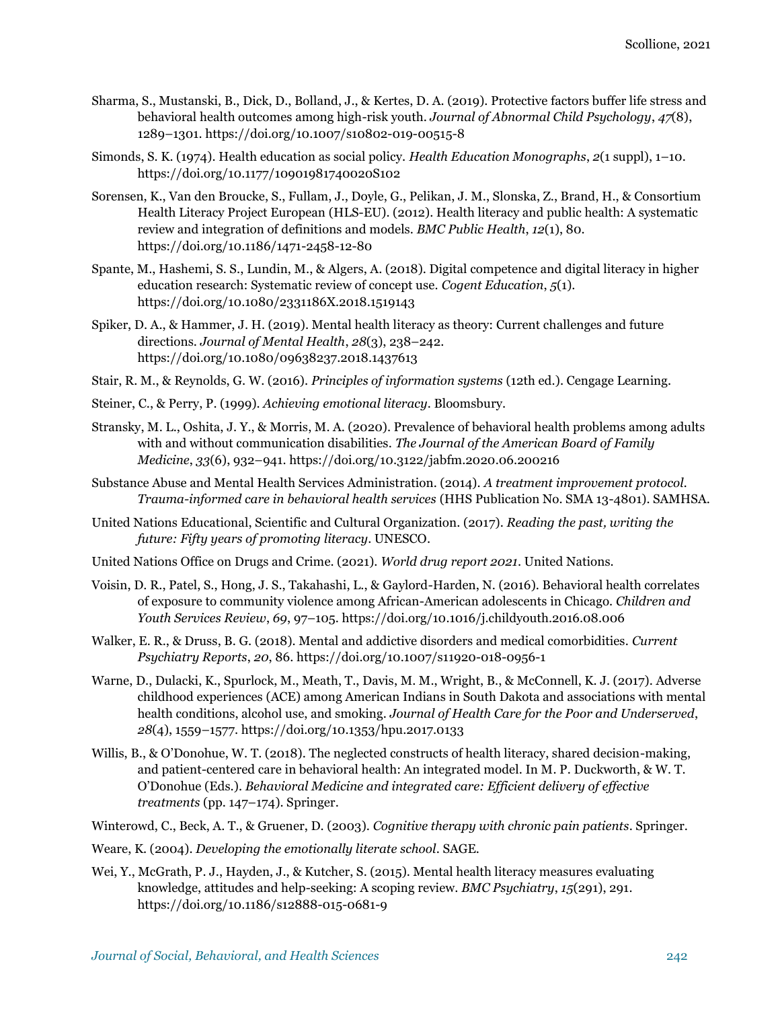- Sharma, S., Mustanski, B., Dick, D., Bolland, J., & Kertes, D. A. (2019). Protective factors buffer life stress and behavioral health outcomes among high-risk youth. *Journal of Abnormal Child Psychology*, *47*(8), 1289–1301. [https://doi.org/10.1007/s10802-019-00515-8](https://doi.org/doi:10.1007/s10802-019-00515-8)
- Simonds, S. K. (1974). Health education as social policy. *Health Education Monographs*, *2*(1 suppl), 1–10. [https://doi.org/10.1177/10901981740020S102](https://doi.org/doi:10.1177/10901981740020S102)
- Sorensen, K., Van den Broucke, S., Fullam, J., Doyle, G., Pelikan, J. M., Slonska, Z., Brand, H., & Consortium Health Literacy Project European (HLS-EU). (2012). Health literacy and public health: A systematic review and integration of definitions and models. *BMC Public Health*, *12*(1), 80. [https://doi.org/10.1186/1471-2458-12-80](https://doi.org/doi:10.1186/1471-2458-12-80)
- Spante, M., Hashemi, S. S., Lundin, M., & Algers, A. (2018). Digital competence and digital literacy in higher education research: Systematic review of concept use. *Cogent Education*, *5*(1). [https://doi.org/10.1080/2331186X.2018.1519143](https://doi.org/doi:10.1080/2331186X.2018.1519143)
- Spiker, D. A., & Hammer, J. H. (2019). Mental health literacy as theory: Current challenges and future directions. *Journal of Mental Health*, *28*(3), 238–242. [https://doi.org/10.1080/09638237.2018.1437613](https://doi.org/doi:10.1080/09638237.2018.1437613)
- Stair, R. M., & Reynolds, G. W. (2016). *Principles of information systems* (12th ed.). Cengage Learning.
- Steiner, C., & Perry, P. (1999). *Achieving emotional literacy*. Bloomsbury.
- Stransky, M. L., Oshita, J. Y., & Morris, M. A. (2020). Prevalence of behavioral health problems among adults with and without communication disabilities. *The Journal of the American Board of Family Medicine*, *33*(6), 932–941. [https://doi.org/10.3122/jabfm.2020.06.200216](https://doi.org/doi:%2010.3122/jabfm.2020.06.200216)
- Substance Abuse and Mental Health Services Administration. (2014). *A treatment improvement protocol. Trauma-informed care in behavioral health services* (HHS Publication No. SMA 13-4801). SAMHSA.
- United Nations Educational, Scientific and Cultural Organization. (2017). *Reading the past, writing the future: Fifty years of promoting literacy*. UNESCO.
- United Nations Office on Drugs and Crime. (2021). *World drug report 2021*. United Nations.
- Voisin, D. R., Patel, S., Hong, J. S., Takahashi, L., & Gaylord-Harden, N. (2016). Behavioral health correlates of exposure to community violence among African-American adolescents in Chicago. *Children and Youth Services Review*, *69*, 97–105[. https://doi.org/10.1016/j.childyouth.2016.08.006](https://doi.org/doi:10.1016/j.childyouth.2016.08.006)
- Walker, E. R., & Druss, B. G. (2018). Mental and addictive disorders and medical comorbidities. *Current Psychiatry Reports*, *20*, 86. [https://doi.org/10.1007/s11920-018-0956-1](https://doi.org/doi:10.1007/s11920-018-0956-1)
- Warne, D., Dulacki, K., Spurlock, M., Meath, T., Davis, M. M., Wright, B., & McConnell, K. J. (2017). Adverse childhood experiences (ACE) among American Indians in South Dakota and associations with mental health conditions, alcohol use, and smoking. *Journal of Health Care for the Poor and Underserved*, *28*(4), 1559–1577[. https://doi.org/10.1353/hpu.2017.0133](https://doi.org/doi:10.1353/hpu.2017.0133)
- Willis, B., & O'Donohue, W. T. (2018). The neglected constructs of health literacy, shared decision-making, and patient-centered care in behavioral health: An integrated model. In M. P. Duckworth, & W. T. O'Donohue (Eds.). *Behavioral Medicine and integrated care: Efficient delivery of effective treatments* (pp. 147–174). Springer.
- Winterowd, C., Beck, A. T., & Gruener, D. (2003). *Cognitive therapy with chronic pain patients*. Springer.
- Weare, K. (2004). *Developing the emotionally literate school*. SAGE.
- Wei, Y., McGrath, P. J., Hayden, J., & Kutcher, S. (2015). Mental health literacy measures evaluating knowledge, attitudes and help-seeking: A scoping review. *BMC Psychiatry*, *15*(291), 291. [https://doi.org/10.1186/s12888-015-0681-9](https://doi.org/doi:10.1186/s12888-015-0681-9)